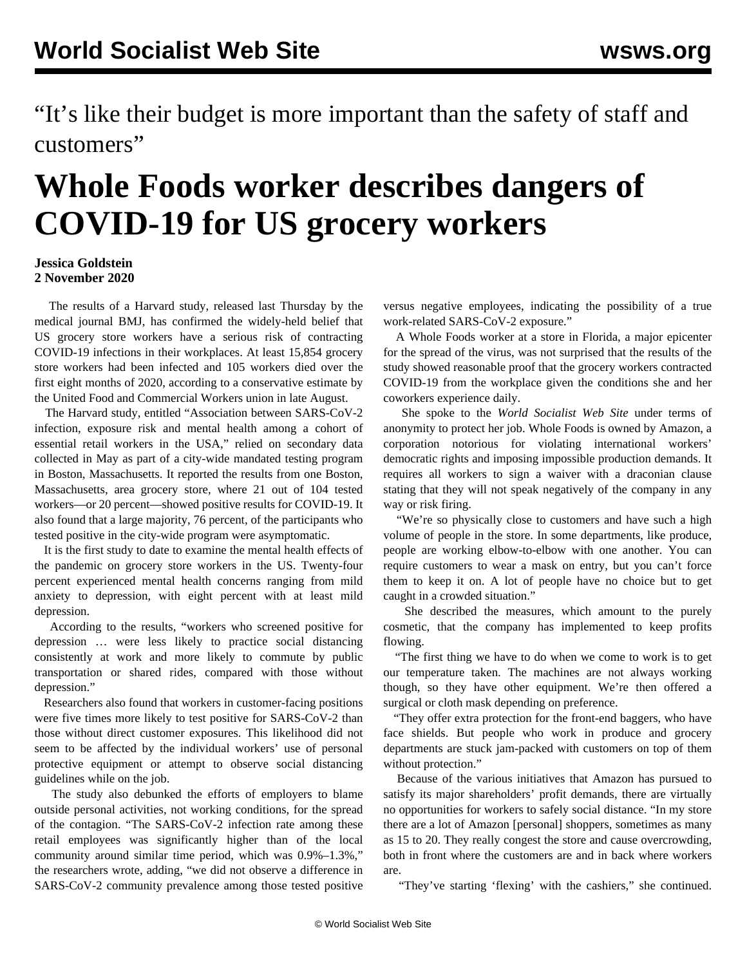"It's like their budget is more important than the safety of staff and customers"

## **Whole Foods worker describes dangers of COVID-19 for US grocery workers**

## **Jessica Goldstein 2 November 2020**

 The results of a Harvard study, released last Thursday by the medical journal BMJ, has confirmed the widely-held belief that US grocery store workers have a serious risk of contracting COVID-19 infections in their workplaces. At least 15,854 grocery store workers had been infected and 105 workers died over the first eight months of 2020, according to a conservative estimate by the United Food and Commercial Workers union in late August.

 The Harvard study, entitled "Association between SARS-CoV-2 infection, exposure risk and mental health among a cohort of essential retail workers in the USA," relied on secondary data collected in May as part of a city-wide mandated testing program in Boston, Massachusetts. It reported the results from one Boston, Massachusetts, area grocery store, where 21 out of 104 tested workers—or 20 percent—showed positive results for COVID-19. It also found that a large majority, 76 percent, of the participants who tested positive in the city-wide program were asymptomatic.

 It is the first study to date to examine the mental health effects of the pandemic on grocery store workers in the US. Twenty-four percent experienced mental health concerns ranging from mild anxiety to depression, with eight percent with at least mild depression.

 According to the results, "workers who screened positive for depression … were less likely to practice social distancing consistently at work and more likely to commute by public transportation or shared rides, compared with those without depression."

 Researchers also found that workers in customer-facing positions were five times more likely to test positive for SARS-CoV-2 than those without direct customer exposures. This likelihood did not seem to be affected by the individual workers' use of personal protective equipment or attempt to observe social distancing guidelines while on the job.

 The study also debunked the efforts of employers to blame outside personal activities, not working conditions, for the spread of the contagion. "The SARS-CoV-2 infection rate among these retail employees was significantly higher than of the local community around similar time period, which was 0.9%–1.3%," the researchers wrote, adding, "we did not observe a difference in SARS-CoV-2 community prevalence among those tested positive

versus negative employees, indicating the possibility of a true work-related SARS-CoV-2 exposure."

 A Whole Foods worker at a store in Florida, a major epicenter for the spread of the virus, was not surprised that the results of the study showed reasonable proof that the grocery workers contracted COVID-19 from the workplace given the conditions she and her coworkers experience daily.

 She spoke to the *World Socialist Web Site* under terms of anonymity to protect her job. Whole Foods is owned by Amazon, a corporation notorious for violating international workers' democratic rights and imposing impossible production demands. It requires all workers to sign a waiver with a draconian clause stating that they will not speak negatively of the company in any way or risk firing.

 "We're so physically close to customers and have such a high volume of people in the store. In some departments, like produce, people are working elbow-to-elbow with one another. You can require customers to wear a mask on entry, but you can't force them to keep it on. A lot of people have no choice but to get caught in a crowded situation."

 She described the measures, which amount to the purely cosmetic, that the company has implemented to keep profits flowing.

 "The first thing we have to do when we come to work is to get our temperature taken. The machines are not always working though, so they have other equipment. We're then offered a surgical or cloth mask depending on preference.

 "They offer extra protection for the front-end baggers, who have face shields. But people who work in produce and grocery departments are stuck jam-packed with customers on top of them without protection."

 Because of the various initiatives that Amazon has pursued to satisfy its major shareholders' profit demands, there are virtually no opportunities for workers to safely social distance. "In my store there are a lot of Amazon [personal] shoppers, sometimes as many as 15 to 20. They really congest the store and cause overcrowding, both in front where the customers are and in back where workers are.

"They've starting 'flexing' with the cashiers," she continued.